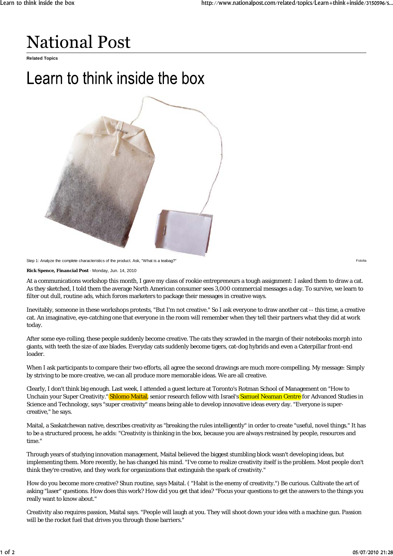## **National Post**

**Related Topics**

## Learn to think inside the box



Step 1: Analyze the complete characteristics of the product. Ask, "What is a teabag?" Fotolia

**Rick Spence, Financial Post** · Monday, Jun. 14, 2010

At a communications workshop this month, I gave my class of rookie entrepreneurs a tough assignment: I asked them to draw a cat. As they sketched, I told them the average North American consumer sees 3,000 commercial messages a day. To survive, we learn to filter out dull, routine ads, which forces marketers to package their messages in creative ways.

Inevitably, someone in these workshops protests, "But I'm not creative." So I ask everyone to draw another cat -- this time, a creative cat. An imaginative, eye-catching one that everyone in the room will remember when they tell their partners what they did at work today.

After some eye-rolling, these people suddenly become creative. The cats they scrawled in the margin of their notebooks morph into giants, with teeth the size of axe blades. Everyday cats suddenly become tigers, cat-dog hybrids and even a Caterpillar front-end loader.

When I ask participants to compare their two efforts, all agree the second drawings are much more compelling. My message: Simply by striving to be more creative, we can all produce more memorable ideas. We are all creative.

Clearly, I don't think big enough. Last week, I attended a guest lecture at Toronto's Rotman School of Management on "How to Unchain your Super Creativity." Shlomo Maital, senior research fellow with Israel's Samuel Neaman Centre for Advanced Studies in Science and Technology, says "super creativity" means being able to develop innovative ideas every day. "Everyone is supercreative," he says.

Maital, a Saskatchewan native, describes creativity as "breaking the rules intelligently" in order to create "useful, novel things." It has to be a structured process, he adds: "Creativity is thinking in the box, because you are always restrained by people, resources and time."

Through years of studying innovation management, Maital believed the biggest stumbling block wasn't developing ideas, but implementing them. More recently, he has changed his mind. "I've come to realize creativity itself is the problem. Most people don't think they're creative, and they work for organizations that extinguish the spark of creativity."

How do you become more creative? Shun routine, says Maital. ( "Habit is the enemy of creativity.") Be curious. Cultivate the art of asking "laser" questions. How does this work? How did you get that idea? "Focus your questions to get the answers to the things you really want to know about."

Creativity also requires passion, Maital says. "People will laugh at you. They will shoot down your idea with a machine gun. Passion will be the rocket fuel that drives you through those barriers."